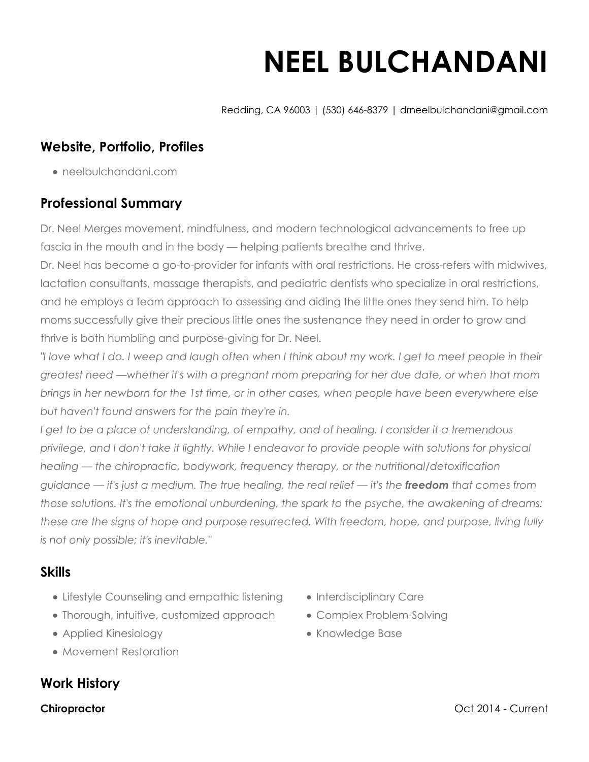# **NEEL BULCHANDANI**

Redding, CA 96003 | (530) 646-8379 | drneelbulchandani@gmail.com

## **Website, Portfolio, Profiles**

neelbulchandani.com

## **Professional Summary**

Dr. Neel Merges movement, mindfulness, and modern technological advancements to free up fascia in the mouth and in the body — helping patients breathe and thrive.

Dr. Neel has become a go-to-provider for infants with oral restrictions. He cross-refers with midwives, lactation consultants, massage therapists, and pediatric dentists who specialize in oral restrictions, and he employs a team approach to assessing and aiding the little ones they send him. To help moms successfully give their precious little ones the sustenance they need in order to grow and thrive is both humbling and purpose-giving for Dr. Neel.

*"I love what I do. I weep and laugh often when I think about my work. I get to meet people in their greatest need —whether it's with a pregnant mom preparing for her due date, or when that mom brings in her newborn for the 1st time, or in other cases, when people have been everywhere else but haven't found answers for the pain they're in.*

*I get to be a place of understanding, of empathy, and of healing. I consider it a tremendous privilege, and I don't take it lightly. While I endeavor to provide people with solutions for physical healing — the chiropractic, bodywork, frequency therapy, or the nutritional/detoxification guidance — it's just a medium. The true healing, the real relief — it's the freedom that comes from those solutions. It's the emotional unburdening, the spark to the psyche, the awakening of dreams: these are the signs of hope and purpose resurrected. With freedom, hope, and purpose, living fully is not only possible; it's inevitable."*

## **Skills**

- Lifestyle Counseling and empathic listening
- Thorough, intuitive, customized approach
- Applied Kinesiology
- Movement Restoration

## **Work History**

- Interdisciplinary Care
- Complex Problem-Solving
- Knowledge Base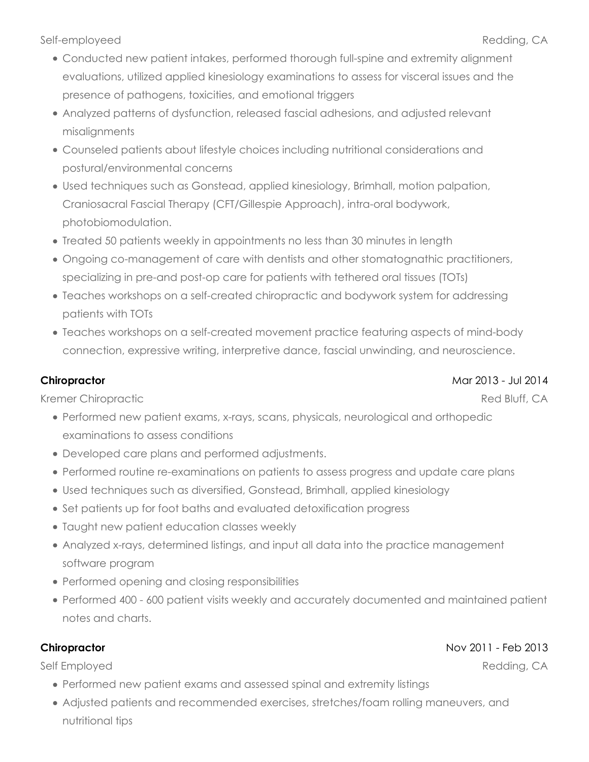Self-employeed Redding, CA

- Conducted new patient intakes, performed thorough full-spine and extremity alignment evaluations, utilized applied kinesiology examinations to assess for visceral issues and the presence of pathogens, toxicities, and emotional triggers
- Analyzed patterns of dysfunction, released fascial adhesions, and adjusted relevant misalignments
- Counseled patients about lifestyle choices including nutritional considerations and postural/environmental concerns
- Used techniques such as Gonstead, applied kinesiology, Brimhall, motion palpation, Craniosacral Fascial Therapy (CFT/Gillespie Approach), intra-oral bodywork, photobiomodulation.
- Treated 50 patients weekly in appointments no less than 30 minutes in length
- Ongoing co-management of care with dentists and other stomatognathic practitioners, specializing in pre-and post-op care for patients with tethered oral tissues (TOTs)
- Teaches workshops on a self-created chiropractic and bodywork system for addressing patients with TOTs
- Teaches workshops on a self-created movement practice featuring aspects of mind-body connection, expressive writing, interpretive dance, fascial unwinding, and neuroscience.

#### **Chiropractor**

Kremer Chiropractic

- Performed new patient exams, x-rays, scans, physicals, neurological and orthopedic examinations to assess conditions
- Developed care plans and performed adjustments.
- Performed routine re-examinations on patients to assess progress and update care plans
- Used techniques such as diversified, Gonstead, Brimhall, applied kinesiology
- Set patients up for foot baths and evaluated detoxification progress
- Taught new patient education classes weekly
- Analyzed x-rays, determined listings, and input all data into the practice management software program
- Performed opening and closing responsibilities
- Performed 400 600 patient visits weekly and accurately documented and maintained patient notes and charts.

#### **Chiropractor**

Self Employed

- Performed new patient exams and assessed spinal and extremity listings
- Adjusted patients and recommended exercises, stretches/foam rolling maneuvers, and nutritional tips

#### Mar 2013 - Jul 2014

Red Bluff, CA

Nov 2011 - Feb 2013

Redding, CA